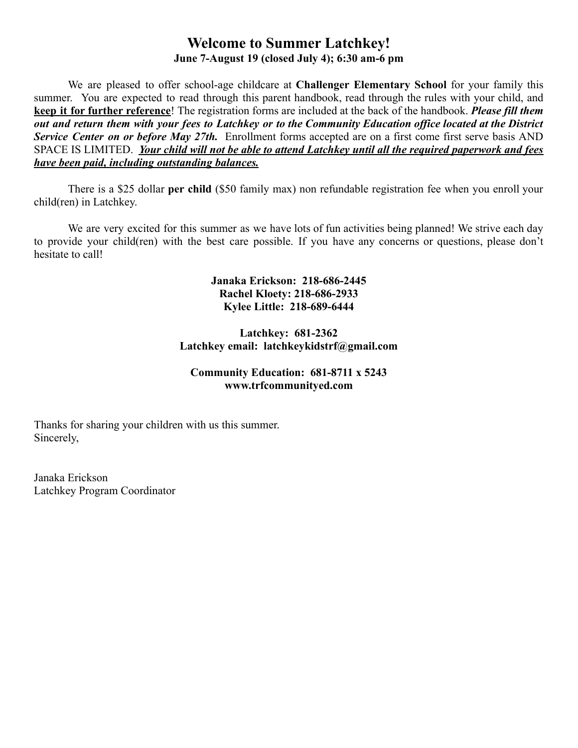# **Welcome to Summer Latchkey! June 7-August 19 (closed July 4); 6:30 am-6 pm**

We are pleased to offer school-age childcare at **Challenger Elementary School** for your family this summer. You are expected to read through this parent handbook, read through the rules with your child, and **keep it for further reference**! The registration forms are included at the back of the handbook. *Please fill them* out and return them with your fees to Latchkey or to the Community Education office located at the District *Service Center on or before May 27th.* Enrollment forms accepted are on a first come first serve basis AND SPACE IS LIMITED. *Your child will not be able to attend Latchkey until all the required paperwork and fees have been paid, including outstanding balances.*

There is a \$25 dollar **per child** (\$50 family max) non refundable registration fee when you enroll your child(ren) in Latchkey.

We are very excited for this summer as we have lots of fun activities being planned! We strive each day to provide your child(ren) with the best care possible. If you have any concerns or questions, please don't hesitate to call!

### **Janaka Erickson: 218-686-2445 Rachel Kloety: 218-686-2933 Kylee Little: 218-689-6444**

#### **Latchkey: 681-2362 Latchkey email: latchkeykidstrf@gmail.com**

### **Community Education: 681-8711 x 5243 www.trfcommunityed.com**

Thanks for sharing your children with us this summer. Sincerely,

Janaka Erickson Latchkey Program Coordinator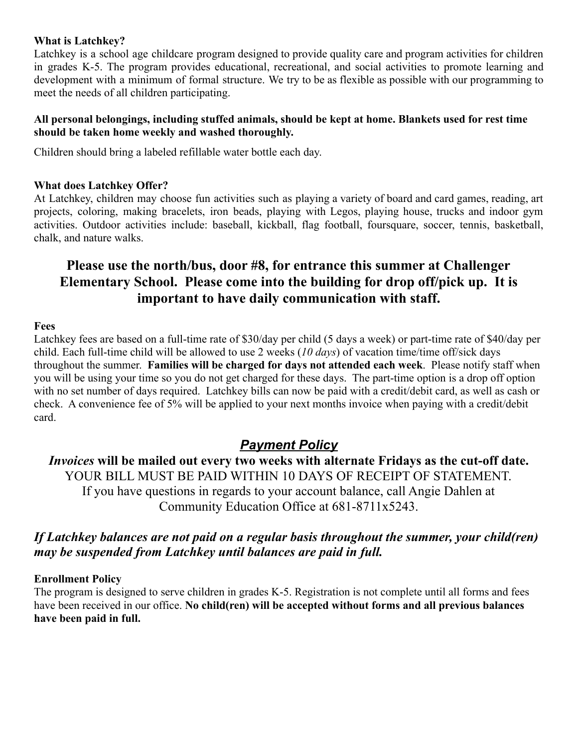#### **What is Latchkey?**

Latchkey is a school age childcare program designed to provide quality care and program activities for children in grades K-5. The program provides educational, recreational, and social activities to promote learning and development with a minimum of formal structure. We try to be as flexible as possible with our programming to meet the needs of all children participating.

#### **All personal belongings, including stuffed animals, should be kept at home. Blankets used for rest time should be taken home weekly and washed thoroughly.**

Children should bring a labeled refillable water bottle each day.

#### **What does Latchkey Offer?**

At Latchkey, children may choose fun activities such as playing a variety of board and card games, reading, art projects, coloring, making bracelets, iron beads, playing with Legos, playing house, trucks and indoor gym activities. Outdoor activities include: baseball, kickball, flag football, foursquare, soccer, tennis, basketball, chalk, and nature walks.

# **Please use the north/bus, door #8, for entrance this summer at Challenger Elementary School. Please come into the building for drop off/pick up. It is important to have daily communication with staff.**

#### **Fees**

Latchkey fees are based on a full-time rate of \$30/day per child (5 days a week) or part-time rate of \$40/day per child. Each full-time child will be allowed to use 2 weeks (*10 days*) of vacation time/time off/sick days throughout the summer. **Families will be charged for days not attended each week**. Please notify staff when you will be using your time so you do not get charged for these days. The part-time option is a drop off option with no set number of days required. Latchkey bills can now be paid with a credit/debit card, as well as cash or check. A convenience fee of 5% will be applied to your next months invoice when paying with a credit/debit card.

# *Payment Policy*

*Invoices* **will be mailed out every two weeks with alternate Fridays as the cut-off date.** YOUR BILL MUST BE PAID WITHIN 10 DAYS OF RECEIPT OF STATEMENT. If you have questions in regards to your account balance, call Angie Dahlen at Community Education Office at 681-8711x5243.

# *If Latchkey balances are not paid on a regular basis throughout the summer, your child(ren) may be suspended from Latchkey until balances are paid in full.*

### **Enrollment Policy**

The program is designed to serve children in grades K-5. Registration is not complete until all forms and fees have been received in our office. **No child(ren) will be accepted without forms and all previous balances have been paid in full.**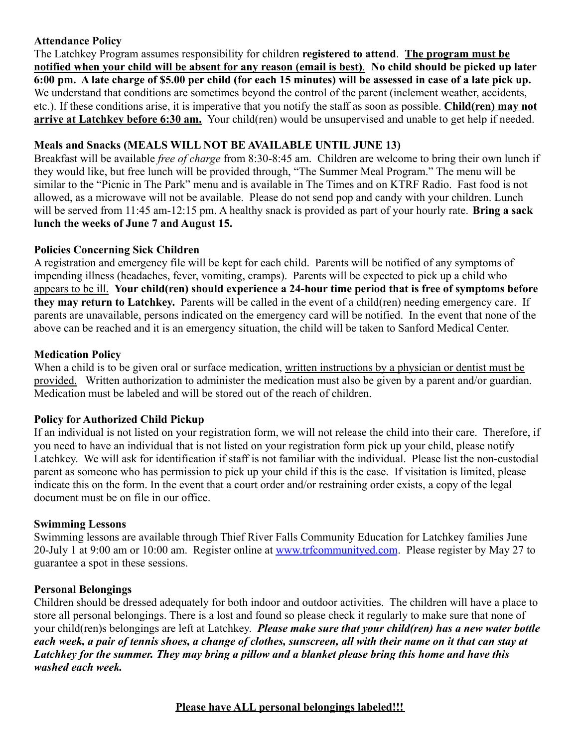# **Attendance Policy**

The Latchkey Program assumes responsibility for children **registered to attend**. **The program must be notified when your child will be absent for any reason (email is best)***.* **No child should be picked up later 6:00 pm. A late charge of \$5.00 per child (for each 15 minutes) will be assessed in case of a late pick up.** We understand that conditions are sometimes beyond the control of the parent (inclement weather, accidents, etc.). If these conditions arise, it is imperative that you notify the staff as soon as possible. **Child(ren) may not arrive at Latchkey before 6:30 am.** Your child(ren) would be unsupervised and unable to get help if needed.

# **Meals and Snacks (MEALS WILL NOT BE AVAILABLE UNTIL JUNE 13)**

Breakfast will be available *free of charge* from 8:30-8:45 am. Children are welcome to bring their own lunch if they would like, but free lunch will be provided through, "The Summer Meal Program." The menu will be similar to the "Picnic in The Park" menu and is available in The Times and on KTRF Radio. Fast food is not allowed, as a microwave will not be available. Please do not send pop and candy with your children. Lunch will be served from 11:45 am-12:15 pm. A healthy snack is provided as part of your hourly rate. **Bring a sack lunch the weeks of June 7 and August 15.**

# **Policies Concerning Sick Children**

A registration and emergency file will be kept for each child. Parents will be notified of any symptoms of impending illness (headaches, fever, vomiting, cramps). Parents will be expected to pick up a child who appears to be ill. **Your child(ren) should experience a 24-hour time period that is free of symptoms before they may return to Latchkey.** Parents will be called in the event of a child(ren) needing emergency care. If parents are unavailable, persons indicated on the emergency card will be notified. In the event that none of the above can be reached and it is an emergency situation, the child will be taken to Sanford Medical Center.

# **Medication Policy**

When a child is to be given oral or surface medication, written instructions by a physician or dentist must be provided. Written authorization to administer the medication must also be given by a parent and/or guardian. Medication must be labeled and will be stored out of the reach of children.

# **Policy for Authorized Child Pickup**

If an individual is not listed on your registration form, we will not release the child into their care. Therefore, if you need to have an individual that is not listed on your registration form pick up your child, please notify Latchkey. We will ask for identification if staff is not familiar with the individual. Please list the non-custodial parent as someone who has permission to pick up your child if this is the case. If visitation is limited, please indicate this on the form. In the event that a court order and/or restraining order exists, a copy of the legal document must be on file in our office.

### **Swimming Lessons**

Swimming lessons are available through Thief River Falls Community Education for Latchkey families June 20-July 1 at 9:00 am or 10:00 am. Register online at [www.trfcommunityed.com](http://www.trfcommunityed.com). Please register by May 27 to guarantee a spot in these sessions.

### **Personal Belongings**

Children should be dressed adequately for both indoor and outdoor activities. The children will have a place to store all personal belongings. There is a lost and found so please check it regularly to make sure that none of your child(ren)s belongings are left at Latchkey. *Please make sure that your child(ren) has a new water bottle each week, a pair of tennis shoes, a change of clothes, sunscreen, all with their name on it that can stay at Latchkey for the summer. They may bring a pillow and a blanket please bring this home and have this washed each week.*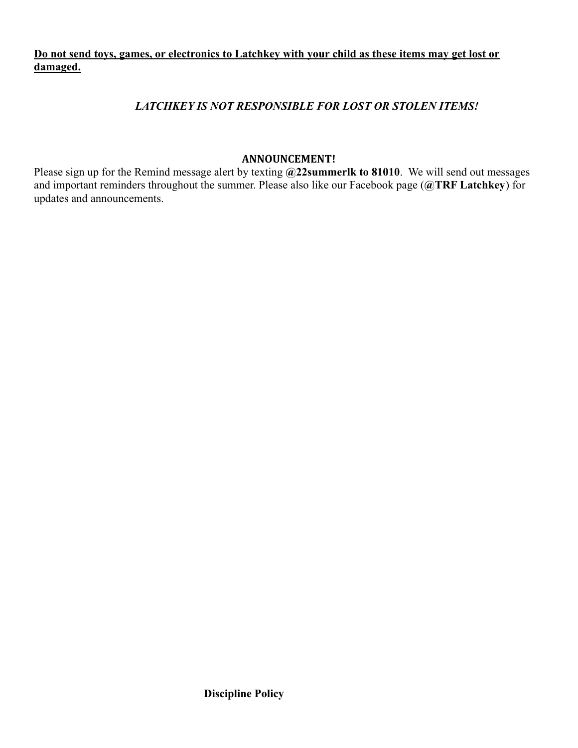# **Do not send toys, games, or electronics to Latchkey with your child as these items may get lost or damaged.**

# *LATCHKEY IS NOT RESPONSIBLE FOR LOST OR STOLEN ITEMS!*

#### **ANNOUNCEMENT!**

Please sign up for the Remind message alert by texting **@22summerlk to 81010**. We will send out messages and important reminders throughout the summer. Please also like our Facebook page (**@TRF Latchkey**) for updates and announcements.